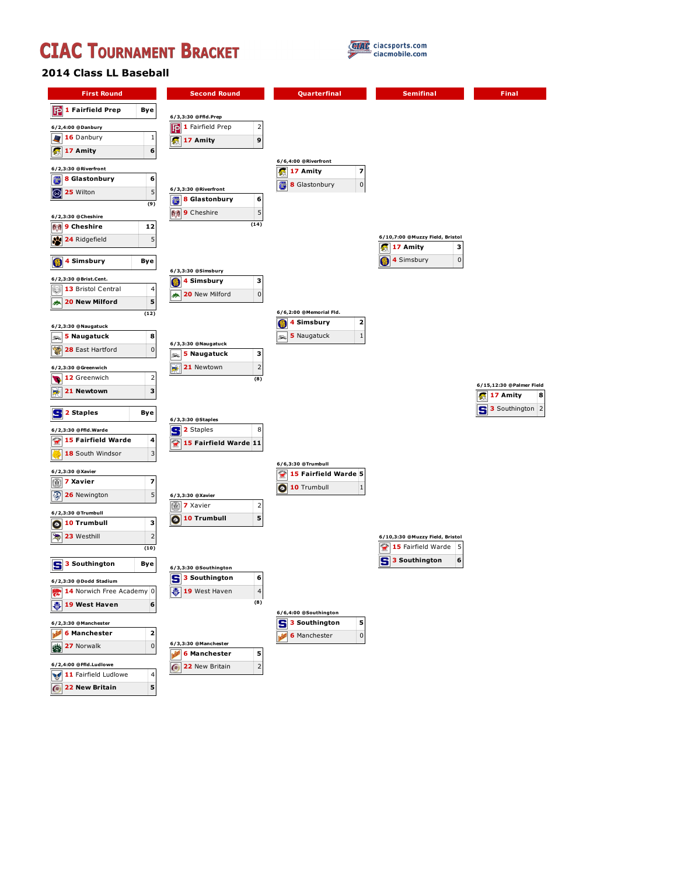



## **2014 Class LL Baseball**